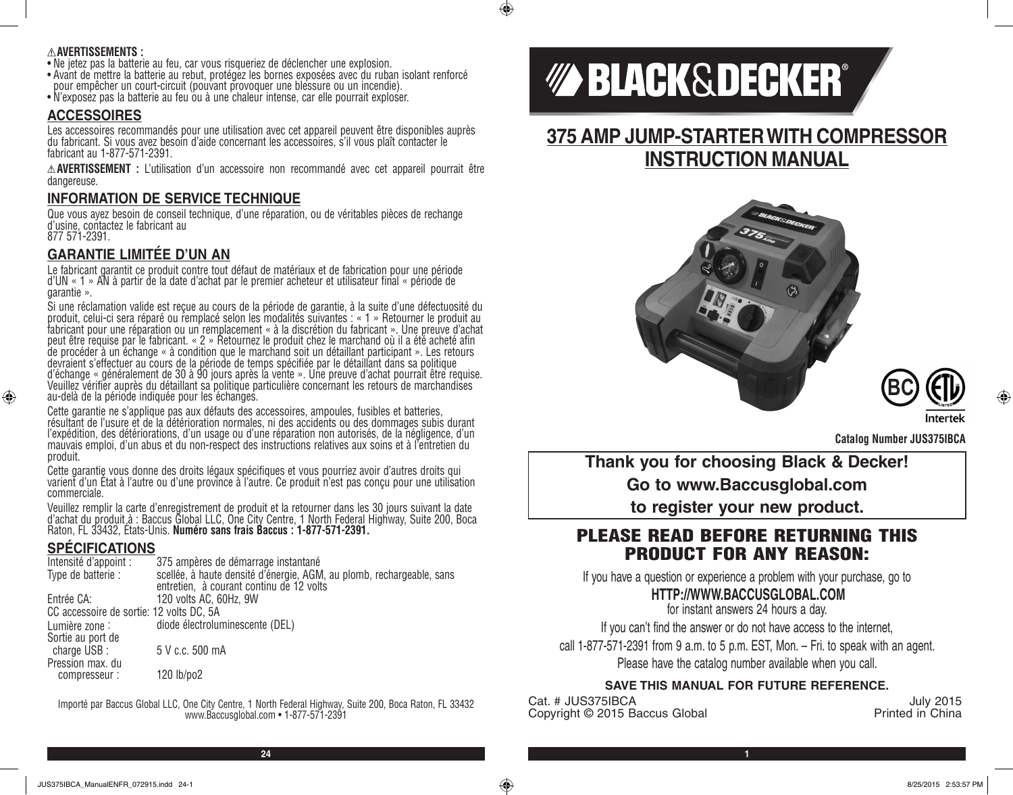#### **AVERTISSEMENTS :**

- Ne jetez pas la batterie au feu, car vous risqueriez de déclencher une explosion.
- Avant de mettre la batterie au rebut, protégez les bornes exposées avec du ruban isolant renforcé pour empêcher un court-circuit (pouvant provoquer une blessure ou un incendie).
- N'exposez pas la batterie au feu ou à une chaleur intense, car elle pourrait exploser.

#### **ACCESSOIRES**

Les accessoires recommandés pour une utilisation avec cet appareil peuvent être disponibles auprès du fabricant. Si vous avez besoin d'aide concernant les accessoires, s'il vous plaît contacter le fabricant au 1-877-571-2391.

**AVERTISSEMENT :** L'utilisation d'un accessoire non recommandé avec cet appareil pourrait être dangereuse.

### **INFORMATION DE SERVICE TECHNIQUE**

Que vous ayez besoin de conseil technique, d'une réparation, ou de véritables pièces de rechange d'usine, contactez le fabricant au 877 571-2391.

# **GARANTIE LIMITÉE D'UN AN**

Le fabricant garantit ce produit contre tout défaut de matériaux et de fabrication pour une période d'UN « 1 » AN à partir de la date d'achat par le premier acheteur et utilisateur final « période de garantie ».

Si une réclamation valide est reçue au cours de la période de garantie, à la suite d'une défectuosité du produit, celui-ci sera réparé ou remplacé selon les modalités suivantes : « 1 » Retourner le produit au fabricant pour une réparation ou un remplacement « à la discrétion du fabricant ». Une preuve d'achat peut être requise par le fabricant. « 2 » Retournez le produit chez le marchand où il a été acheté afin de procéder à un échange « à condition que le marchand soit un détaillant participant ». Les retours devraient s'effectuer au cours de la période de temps spécifiée par le détaillant dans sa politique d'échange « généralement de 30 à 90 jours après la vente ». Une preuve d'achat pourrait être requise. Veuillez vérifier auprès du détaillant sa politique particulière concernant les retours de marchandises au-delà de la période indiquée pour les échanges.

Cette garantie ne s'applique pas aux défauts des accessoires, ampoules, fusibles et batteries, résultant de l'usure et de la détérioration normales, ni des accidents ou des dommages subis durant l'expédition, des détériorations, d'un usage ou d'une réparation non autorisés, de la négligence, d'un mauvais emploi, d'un abus et du non-respect des instructions relatives aux soins et à l'entretien du produit.

Cette garantie vous donne des droits légaux spécifiques et vous pourriez avoir d'autres droits qui varient d'un État à l'autre ou d'une province à l'autre. Ce produit n'est pas conçu pour une utilisation commerciale.

Veuillez remplir la carte d'enregistrement de produit et la retourner dans les 30 jours suivant la date d'achat du produit à : Baccus Global LLC, One City Centre, 1 North Federal Highway, Suite 200, Boca<br>Raton, FL 33432, États-Unis. **Numéro sans frais Baccus : 1-877-571-2391.** 

# **SPÉCIFICATIONS**

⊕

| Intensité d'appoint :                    | 375 ampères de démarrage instantané                                                                               |
|------------------------------------------|-------------------------------------------------------------------------------------------------------------------|
| Type de batterie :                       | scellée, à haute densité d'énergie, AGM, au plomb, rechargeable, sans<br>entretien, à courant continu de 12 volts |
| Entrée CA:                               | 120 volts AC, 60Hz, 9W                                                                                            |
| CC accessoire de sortie: 12 volts DC, 5A |                                                                                                                   |
| Lumière zone :                           | diode électroluminescente (DEL)                                                                                   |
| Sortie au port de                        |                                                                                                                   |
| charge USB :                             | 5 V c.c. 500 mA                                                                                                   |
| Pression max. du                         |                                                                                                                   |
| compresseur:                             | 120 lb/po2                                                                                                        |
|                                          |                                                                                                                   |

Importé par Baccus Global LLC, One City Centre, 1 North Federal Highway, Suite 200, Boca Raton, FL 33432 www.Baccusglobal.com • 1-877-571-2391

# *MA BLACK&DECKER®*

 $\bigcirc$ 

# **375 AMP JUMP-STARTER WITH COMPRESSOR INSTRUCTION MANUAL**





**Catalog Number JUS375IBCA**

**Thank you for choosing Black & Decker! Go to www.Baccusglobal.com to register your new product.**

# PLEASE READ BEFORE RETURNING THIS PRODUCT FOR ANY REASON:

If you have a question or experience a problem with your purchase, go to

# **HTTP://WWW.BACCUSGLOBAL.COM**

for instant answers 24 hours a day.

If you can't find the answer or do not have access to the internet,

call 1-877-571-2391 from 9 a.m. to 5 p.m. EST, Mon. – Fri. to speak with an agent.

Please have the catalog number available when you call.

### **SAVE THIS MANUAL FOR FUTURE REFERENCE.**

Cat. # JUS375IBCA July 2015<br>Copyright © 2015 Baccus Global July 2015 Copyright © 2015 Baccus Global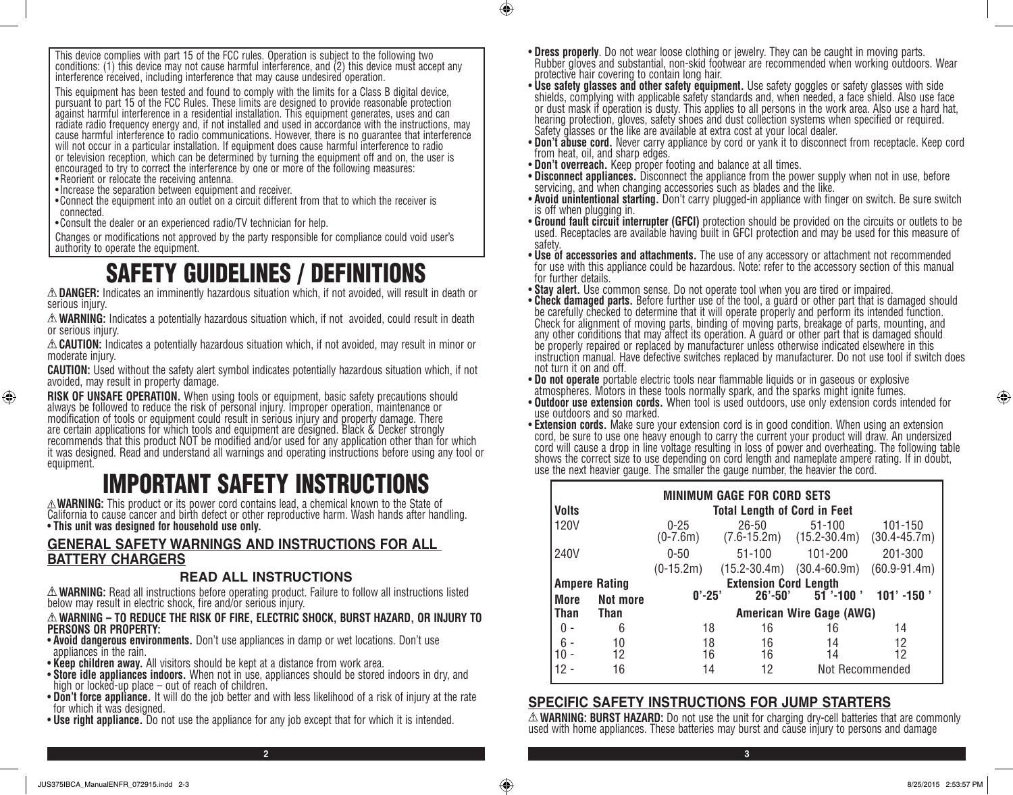This device complies with part 15 of the FCC rules. Operation is subject to the following two conditions: (1) this device may not cause harmful interference, and (2) this device must accept any interference received, including interference that may cause undesired operation.

This equipment has been tested and found to comply with the limits for a Class B digital device, pursuant to part 15 of the FCC Rules. These limits are designed to provide reasonable protection against harmful interference in a residential installation. This equipment generates, uses and can radiate radio frequency energy and, if not installed and used in accordance with the instructions, may cause harmful interference to radio communications. However, there is no guarantee that interference will not occur in a particular installation. If equipment does cause harmful interference to radio or television reception, which can be determined by turning the equipment off and on, the user is encouraged to try to correct the interference by one or more of the following measures: •Reorient or relocate the receiving antenna.

- •Increase the separation between equipment and receiver.
- •Connect the equipment into an outlet on a circuit different from that to which the receiver is connected.

•Consult the dealer or an experienced radio/TV technician for help.

Changes or modifications not approved by the party responsible for compliance could void user's authority to operate the equipment.

# SAFETY GUIDELINES / DEFINITIONS

**DANGER:** Indicates an imminently hazardous situation which, if not avoided, will result in death or serious injury.

**WARNING:** Indicates a potentially hazardous situation which, if not avoided, could result in death or serious injury.

**CAUTION:** Indicates a potentially hazardous situation which, if not avoided, may result in minor or moderate injury.

**CAUTION:** Used without the safety alert symbol indicates potentially hazardous situation which, if not avoided, may result in property damage.

**RISK OF UNSAFE OPERATION.** When using tools or equipment, basic safety precautions should<br>always be followed to reduce the risk of personal injury. Improper operation, maintenance or modification of tools or equipment could result in serious injury and property damage. There are certain applications for which tools and equipment are designed. Black & Decker strongly recommends that this product NOT be modified and/or used for any application other than for which it was designed. Read and understand all warnings and operating instructions before using any tool or equipment.

# **EXAMPERTANT SAFETY INSTRUCTIONS**<br>A WARNING: This product or its power cord contains lead, a chemical known to the State of

California to cause cancer and birth defect or other reproductive harm. Wash hands after handling. • **This unit was designed for household use only.**

### **GENERAL SAFETY WARNINGS AND INSTRUCTIONS FOR ALL BATTERY CHARGERS**

#### **READ ALL INSTRUCTIONS**

**WARNING:** Read all instructions before operating product. Failure to follow all instructions listed below may result in electric shock, fire and/or serious injury.

#### **WARNING – TO REDUCE THE RISK OF FIRE, ELECTRIC SHOCK, BURST HAZARD, OR INJURY TO PERSONS OR PROPERTY:**

- **Avoid dangerous environments.** Don't use appliances in damp or wet locations. Don't use appliances in the rain.
- **Keep children away.** All visitors should be kept at a distance from work area.
- **Store idle appliances indoors.** When not in use, appliances should be stored indoors in dry, and high or locked-up place out of reach of children.
- **Don't force appliance.** It will do the job better and with less likelihood of a risk of injury at the rate for which it was designed.
- **Use right appliance.** Do not use the appliance for any job except that for which it is intended.
- **Dress properly**. Do not wear loose clothing or jewelry. They can be caught in moving parts.<br>Rubber gloves and substantial, non-skid footwear are recommended when working outdoors. Wear protective hair covering to contain long hair.
- **Use safety glasses and other safety equipment.** Use safety goggles or safety glasses with side shields, complying with applicable safety standards and, when needed, a face shield. Also use face or dust mask if operation is dusty. This applies to all persons in the work area. Also use a hard hat, hearing protection, gloves, safety shoes and dust collection systems when specified or required. Safety glasses or the like are available at extra cost at your local dealer.
- **Don't abuse cord.** Never carry appliance by cord or yank it to disconnect from receptacle. Keep cord from heat, oil, and sharp edges.
- **Don't overreach.** Keep proper footing and balance at all times.
- **Disconnect appliances.** Disconnect the appliance from the power supply when not in use, before servicing, and when changing accessories such as blades and the like.
- **Avoid unintentional starting.** Don't carry plugged-in appliance with finger on switch. Be sure switch is off when plugging in.
- **Ground fault circuit interrupter (GFCI)** protection should be provided on the circuits or outlets to be used. Receptacles are available having built in GFCI protection and may be used for this measure of safety.<br>• Use of accessories and attachments. The use of any accessory or attachment not recommended
- for use with this appliance could be hazardous. Note: refer to the accessory section of this manual for further details.
- **Stay alert.** Use common sense. Do not operate tool when you are tired or impaired.
- **Check damaged parts.** Before further use of the tool, a guard or other part that is damaged should be carefully checked to determine that it will operate properly and perform its intended function. Check for alignment of moving parts, binding of moving parts, breakage of parts, mounting, and any other conditions that may affect its operation. A guard or other part that is damaged should be properly repaired or replaced by manufacturer unless otherwise indicated elsewhere in this instruction manual. Have defective switches replaced by manufacturer. Do not use tool if switch does not turn it on and off.<br>• Do not operate portable electric tools near flammable liquids or in gaseous or explosive

atmospheres. Motors in these tools normally spark, and the sparks might ignite fumes.

- **Outdoor use extension cords.** When tool is used outdoors, use only extension cords intended for use outdoors and so marked.<br>• **Extension cords.** Make sure your extension cord is in good condition. When using an extensio
- cord, be sure to use one heavy enough to carry the current your product will draw. An undersized cord will cause a drop in line voltage resulting in loss of power and overheating. The following table shows the correct size to use depending on cord length and nameplate ampere rating. If in doubt, use the next heavier gauge. The smaller the gauge number, the heavier the cord.

|  | <b>MINIMUM GAGE FOR CORD SETS</b>                                      |    |                                     |                  |                                            |                             |
|--|------------------------------------------------------------------------|----|-------------------------------------|------------------|--------------------------------------------|-----------------------------|
|  | <b>Volts</b>                                                           |    | <b>Total Length of Cord in Feet</b> |                  |                                            |                             |
|  | 120V                                                                   |    | $0 - 25$<br>$(0-7.6m)$              | $26 - 50$        | $51 - 100$<br>$(7.6-15.2m)$ $(15.2-30.4m)$ | 101-150<br>$(30.4 - 45.7m)$ |
|  | 240V                                                                   |    | $0 - 50$                            | $51 - 100$       | 101-200                                    | 201-300                     |
|  |                                                                        |    | $(0-15.2m)$                         | $(15.2 - 30.4m)$ | $(30.4 - 60.9m)$                           | $(60.9 - 91.4m)$            |
|  | <b>Ampere Rating</b><br>Not more<br><b>More</b><br><b>Than</b><br>Than |    | <b>Extension Cord Length</b>        |                  |                                            |                             |
|  |                                                                        |    | $0' - 25'$                          | $26' - 50'$      | $51$ '-100 '                               | $101' - 150'$               |
|  |                                                                        |    | American Wire Gage (AWG)            |                  |                                            |                             |
|  | ი -                                                                    | 6  | 18                                  | 16               | 16                                         | 14                          |
|  | $6 -$                                                                  | 10 | 18                                  | 16               | 14                                         | 12                          |
|  |                                                                        | 12 | 16                                  | 16               | 14                                         | 12                          |
|  |                                                                        | 16 | 14                                  | 12               | Not Recommended                            |                             |

#### **SPECIFIC SAFETY INSTRUCTIONS FOR JUMP STARTERS**

**2 3**

 $\bigcirc$ 

**WARNING: BURST HAZARD:** Do not use the unit for charging dry-cell batteries that are commonly used with home appliances. These batteries may burst and cause injury to persons and damage

⊕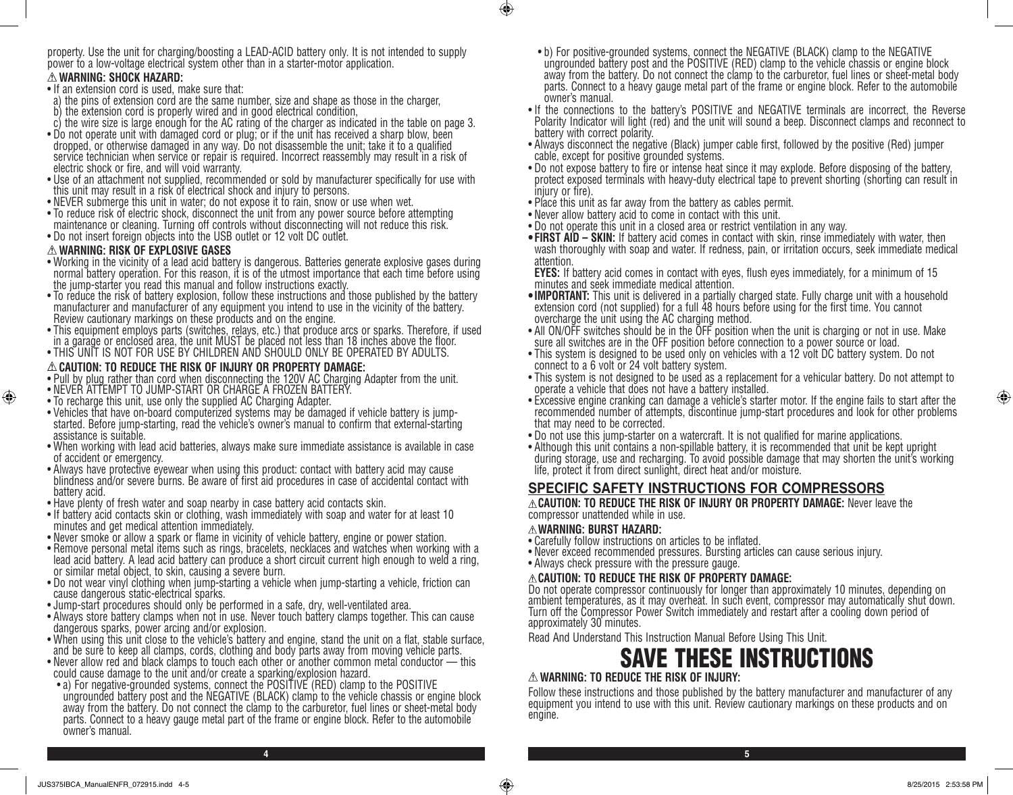property. Use the unit for charging/boosting a LEAD-ACID battery only. It is not intended to supply power to a low-voltage electrical system other than in a starter-motor application.

#### **WARNING: SHOCK HAZARD:**

- If an extension cord is used, make sure that:
- a) the pins of extension cord are the same number, size and shape as those in the charger,
- b) the extension cord is properly wired and in good electrical condition,
- c) the wire size is large enough for the AC rating of the charger as indicated in the table on page 3.
- Do not operate unit with damaged cord or plug; or if the unit has received a sharp blow, been dropped, or otherwise damaged in any way. Do not disassemble the unit; take it to a qualified service technician when service or repair is required. Incorrect reassembly may result in a risk of electric shock or fire, and will void warranty.
- Use of an attachment not supplied, recommended or sold by manufacturer specifically for use with this unit may result in a risk of electrical shock and injury to persons.
- NEVER submerge this unit in water; do not expose it to rain, snow or use when wet.
- To reduce risk of electric shock, disconnect the unit from any power source before attempting maintenance or cleaning. Turning off controls without disconnecting will not reduce this risk.
- Do not insert foreign objects into the USB outlet or 12 volt DC outlet.

#### **WARNING: RISK OF EXPLOSIVE GASES**

⊕

- Working in the vicinity of a lead acid battery is dangerous. Batteries generate explosive gases during normal battery operation. For this reason, it is of the utmost importance that each time before using the jump-starter you read this manual and follow instructions exactly.
- To reduce the risk of battery explosion, follow these instructions and those published by the battery manufacturer and manufacturer of any equipment you intend to use in the vicinity of the battery. Review cautionary markings on these products and on the engine.
- This equipment employs parts (switches, relays, etc.) that produce arcs or sparks. Therefore, if used in a garage or enclosed area, the unit MUST be placed not less than 18 inches above the floor.
- THIS UNIT IS NOT FOR USE BY CHILDREN AND SHOULD ONLY BE OPERATED BY ADULTS.

#### **CAUTION: TO REDUCE THE RISK OF INJURY OR PROPERTY DAMAGE:**

- Pull by plug rather than cord when disconnecting the 120V AC Charging Adapter from the unit.
- NEVER ATTEMPT TO JUMP-START OR CHARGE A FROZEN BATTERY.
- To recharge this unit, use only the supplied AC Charging Adapter.
- Vehicles that have on-board computerized systems may be damaged if vehicle battery is jumpstarted. Before jump-starting, read the vehicle's owner's manual to confirm that external-starting assistance is suitable.
- When working with lead acid batteries, always make sure immediate assistance is available in case of accident or emergency.
- Always have protective eyewear when using this product: contact with battery acid may cause blindness and/or severe burns. Be aware of first aid procedures in case of accidental contact with battery acid.
- Have plenty of fresh water and soap nearby in case battery acid contacts skin.
- If battery acid contacts skin or clothing, wash immediately with soap and water for at least 10 minutes and get medical attention immediately.
- Never smoke or allow a spark or flame in vicinity of vehicle battery, engine or power station.
- Remove personal metal items such as rings, bracelets, necklaces and watches when working with a lead acid battery. A lead acid battery can produce a short circuit current high enough to weld a ring, or similar metal object, to skin, causing a severe burn.
- Do not wear vinyl clothing when jump-starting a vehicle when jump-starting a vehicle, friction can cause dangerous static-electrical sparks.
- Jump-start procedures should only be performed in a safe, dry, well-ventilated area.
- Always store battery clamps when not in use. Never touch battery clamps together. This can cause dangerous sparks, power arcing and/or explosion.
- When using this unit close to the vehicle's battery and engine, stand the unit on a flat, stable surface, and be sure to keep all clamps, cords, clothing and body parts away from moving vehicle parts.
- Never allow red and black clamps to touch each other or another common metal conductor this could cause damage to the unit and/or create a sparking/explosion hazard.
- a) For negative-grounded systems, connect the POSITIVE (RED) clamp to the POSITIVE ungrounded battery post and the NEGATIVE (BLACK) clamp to the vehicle chassis or engine block away from the battery. Do not connect the clamp to the carburetor, fuel lines or sheet-metal body parts. Connect to a heavy gauge metal part of the frame or engine block. Refer to the automobile owner's manual.
- b) For positive-grounded systems, connect the NEGATIVE (BLACK) clamp to the NEGATIVE ungrounded battery post and the POSITIVE (RED) clamp to the vehicle chassis or engine block away from the battery. Do not connect the clamp to the carburetor, fuel lines or sheet-metal body parts. Connect to a heavy gauge metal part of the frame or engine block. Refer to the automobile owner's manual.
- If the connections to the battery's POSITIVE and NEGATIVE terminals are incorrect, the Reverse Polarity Indicator will light (red) and the unit will sound a beep. Disconnect clamps and reconnect to battery with correct polarity.
- Always disconnect the negative (Black) jumper cable first, followed by the positive (Red) jumper cable, except for positive grounded systems.
- Do not expose battery to fire or intense heat since it may explode. Before disposing of the battery, protect exposed terminals with heavy-duty electrical tape to prevent shorting (shorting can result in injury or fire).
- Place this unit as far away from the battery as cables permit.
- Never allow battery acid to come in contact with this unit.
- Do not operate this unit in a closed area or restrict ventilation in any way.
- **• FIRST AID SKIN:** If battery acid comes in contact with skin, rinse immediately with water, then wash thoroughly with soap and water. If redness, pain, or irritation occurs, seek immediate medical attention.

**EYES:** If battery acid comes in contact with eyes, flush eyes immediately, for a minimum of 15 minutes and seek immediate medical attention.

- •**IMPORTANT:** This unit is delivered in a partially charged state. Fully charge unit with a household extension cord (not supplied) for a full 48 hours before using for the first time. You cannot overcharge the unit using the AC charging method.
- All ON/OFF switches should be in the OFF position when the unit is charging or not in use. Make<br>sure all switches are in the OFF position before connection to a power source or load.
- This system is designed to be used only on vehicles with a 12 volt DC battery system. Do not connect to a 6 volt or 24 volt battery system.
- This system is not designed to be used as a replacement for a vehicular battery. Do not attempt to operate a vehicle that does not have a battery installed.
- Excessive engine cranking can damage a vehicle's starter motor. If the engine fails to start after the recommended number of attempts, discontinue jump-start procedures and look for other problems that may need to be corrected.
- Do not use this jump-starter on a watercraft. It is not qualified for marine applications.
- Although this unit contains a non-spillable battery, it is recommended that unit be kept upright during storage, use and recharging. To avoid possible damage that may shorten the unit's working life, protect it from direct sunlight, direct heat and/or moisture.

# **SPECIFIC SAFETY INSTRUCTIONS FOR COMPRESSORS**

**CAUTION: TO REDUCE THE RISK OF INJURY OR PROPERTY DAMAGE:** Never leave the compressor unattended while in use.

#### **WARNING: BURST HAZARD:**

- Carefully follow instructions on articles to be inflated.
- Never exceed recommended pressures. Bursting articles can cause serious injury.
- Always check pressure with the pressure gauge.

#### **CAUTION: TO REDUCE THE RISK OF PROPERTY DAMAGE:**

Do not operate compressor continuously for longer than approximately 10 minutes, depending on ambient temperatures, as it may overheat. In such event, compressor may automatically shut down. Turn off the Compressor Power Switch immediately and restart after a cooling down period of approximately 30 minutes.

Read And Understand This Instruction Manual Before Using This Unit.

# SAVE THESE INSTRUCTIONS

# **WARNING: TO REDUCE THE RISK OF INJURY:**

Follow these instructions and those published by the battery manufacturer and manufacturer of any equipment you intend to use with this unit. Review cautionary markings on these products and on engine.

**4 5**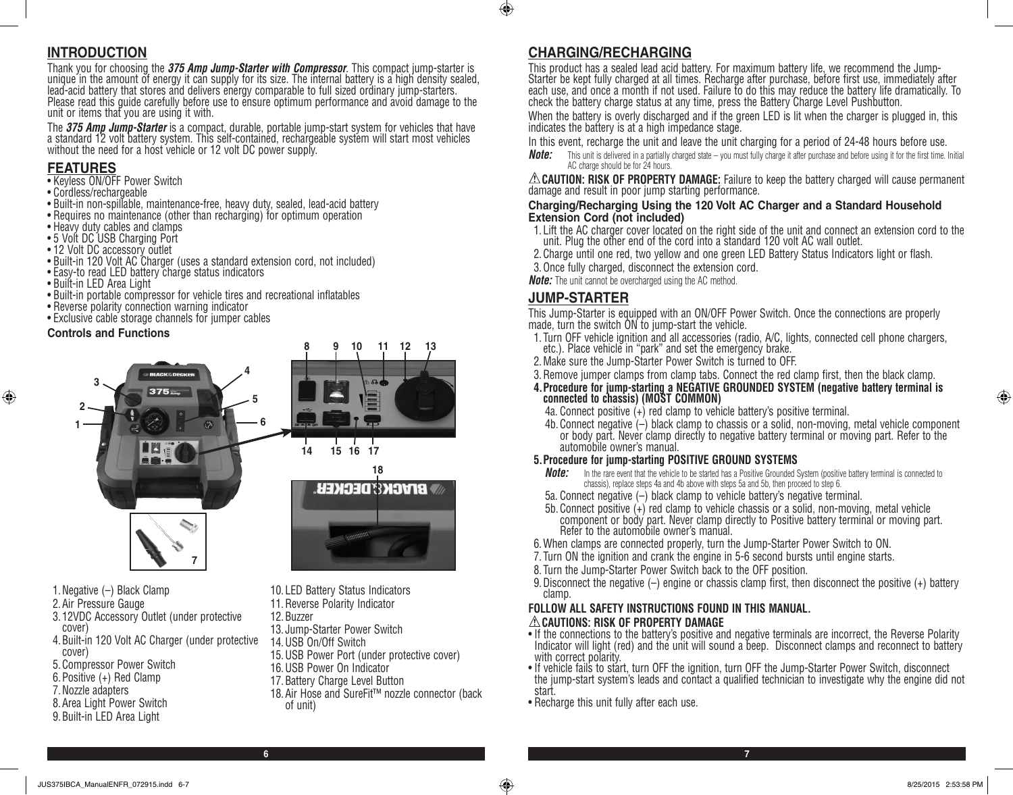# **INTRODUCTION**

Thank you for choosing the *375 Amp Jump-Starter with Compressor*. This compact jump-starter is<br>unique in the amount of energy it can supply for its size. The internal battery is a high density sealed, lead-acid battery that stores and delivers energy comparable to full sized ordinary jump-starters. Please read this guide carefully before use to ensure optimum performance and avoid damage to the unit or items that you are using it with.

The *375 Amp Jump-Starter* is a compact, durable, portable jump-start system for vehicles that have a standard 12 volt battery system. This self-contained, rechargeable system will start most vehicles without the need for a host vehicle or 12 volt DC power supply.

# **FEATURES**

- Keyless ON/OFF Power Switch
- Cordless/rechargeable
- Built-in non-spillable, maintenance-free, heavy duty, sealed, lead-acid battery
- Requires no maintenance (other than recharging) for optimum operation
- Heavy duty cables and clamps
- 5 Volt DC USB Charging Port
- 12 Volt DC accessory outlet
- Built-in 120 Volt AC Charger (uses a standard extension cord, not included)
- Easy-to read LED battery charge status indicators
- Built-in LED Area Light
- Built-in portable compressor for vehicle tires and recreational inflatables
- Reverse polarity connection warning indicator
- Exclusive cable storage channels for jumper cables

#### **Controls and Functions**

⊕



- 1.Negative (–) Black Clamp
- 2.Air Pressure Gauge
- 3. 12VDC Accessory Outlet (under protective cover)
- 4.Built-in 120 Volt AC Charger (under protective cover)
- 5.Compressor Power Switch
- 6.Positive (+) Red Clamp
- 7.Nozzle adapters
- 8.Area Light Power Switch
- 9.Built-in LED Area Light
- 10. LED Battery Status Indicators
- 11.Reverse Polarity Indicator
- 12.Buzzer
- 13. Jump-Starter Power Switch
- 14.USB On/Off Switch
- 15.USB Power Port (under protective cover)
- 16.USB Power On Indicator
- 17.Battery Charge Level Button
- 
- 18.Air Hose and SureFit™ nozzle connector (back of unit)

# **CHARGING/RECHARGING**

 $\bigcirc$ 

This product has a sealed lead acid battery. For maximum battery life, we recommend the Jump-Starter be kept fully charged at all times. Recharge after purchase, before first use, immediately after each use, and once a month if not used. Failure to do this may reduce the battery life dramatically. To check the battery charge status at any time, press the Battery Charge Level Pushbutton.

When the battery is overly discharged and if the green LED is lit when the charger is plugged in, this indicates the battery is at a high impedance stage.

In this event, recharge the unit and leave the unit charging for a period of 24-48 hours before use.

*Note:* This unit is delivered in a partially charged state – you must fully charge it after purchase and before using it for the first time. Initial AC charge should be for 24 hours.

**CAUTION: RISK OF PROPERTY DAMAGE:** Failure to keep the battery charged will cause permanent damage and result in poor jump starting performance.

#### **Charging/Recharging Using the 120 Volt AC Charger and a Standard Household Extension Cord (not included)**

- 1. Lift the AC charger cover located on the right side of the unit and connect an extension cord to the unit. Plug the other end of the cord into a standard 120 volt AC wall outlet.
- 2.Charge until one red, two yellow and one green LED Battery Status Indicators light or flash.
- 3. Once fully charged, disconnect the extension cord.

*Note:* The unit cannot be overcharged using the AC method.

# **JUMP-STARTER**

This Jump-Starter is equipped with an ON/OFF Power Switch. Once the connections are properly made, turn the switch ON to jump-start the vehicle.

- 1. Turn OFF vehicle ignition and all accessories (radio, A/C, lights, connected cell phone chargers, etc.). Place vehicle in "park" and set the emergency brake.
- 2.Make sure the Jump-Starter Power Switch is turned to OFF.
- 3.Remove jumper clamps from clamp tabs. Connect the red clamp first, then the black clamp.
- **4.Procedure for jump-starting a NEGATIVE GROUNDED SYSTEM (negative battery terminal is connected to chassis) (MOST COMMON)**
- 4a. Connect positive (+) red clamp to vehicle battery's positive terminal.
- 4b. Connect negative (–) black clamp to chassis or a solid, non-moving, metal vehicle component or body part. Never clamp directly to negative battery terminal or moving part. Refer to the automobile owner's manual.

#### **5.Procedure for jump-starting POSITIVE GROUND SYSTEMS**

- **Note:** In the rare event that the vehicle to be started has a Positive Grounded System (positive battery terminal is connected to chassis), replace steps 4a and 4b above with steps 5a and 5b, then proceed to step 6.
- 5a. Connect negative (–) black clamp to vehicle battery's negative terminal.
- 5b. Connect positive (+) red clamp to vehicle chassis or a solid, non-moving, metal vehicle component or body part. Never clamp directly to Positive battery terminal or moving part. Refer to the automobile owner's manual.
- 6.When clamps are connected properly, turn the Jump-Starter Power Switch to ON.
- 7. Turn ON the ignition and crank the engine in 5-6 second bursts until engine starts.
- 8. Turn the Jump-Starter Power Switch back to the OFF position.
- 9.Disconnect the negative (–) engine or chassis clamp first, then disconnect the positive (+) battery clamp.

# **FOLLOW ALL SAFETY INSTRUCTIONS FOUND IN THIS MANUAL.**

#### **CAUTIONS: RISK OF PROPERTY DAMAGE**

- If the connections to the battery's positive and negative terminals are incorrect, the Reverse Polarity Indicator will light (red) and the unit will sound a beep. Disconnect clamps and reconnect to battery with correct polarity.
- If vehicle fails to start, turn OFF the ignition, turn OFF the Jump-Starter Power Switch, disconnect the jump-start system's leads and contact a qualified technician to investigate why the engine did not start.
- Recharge this unit fully after each use.

⊕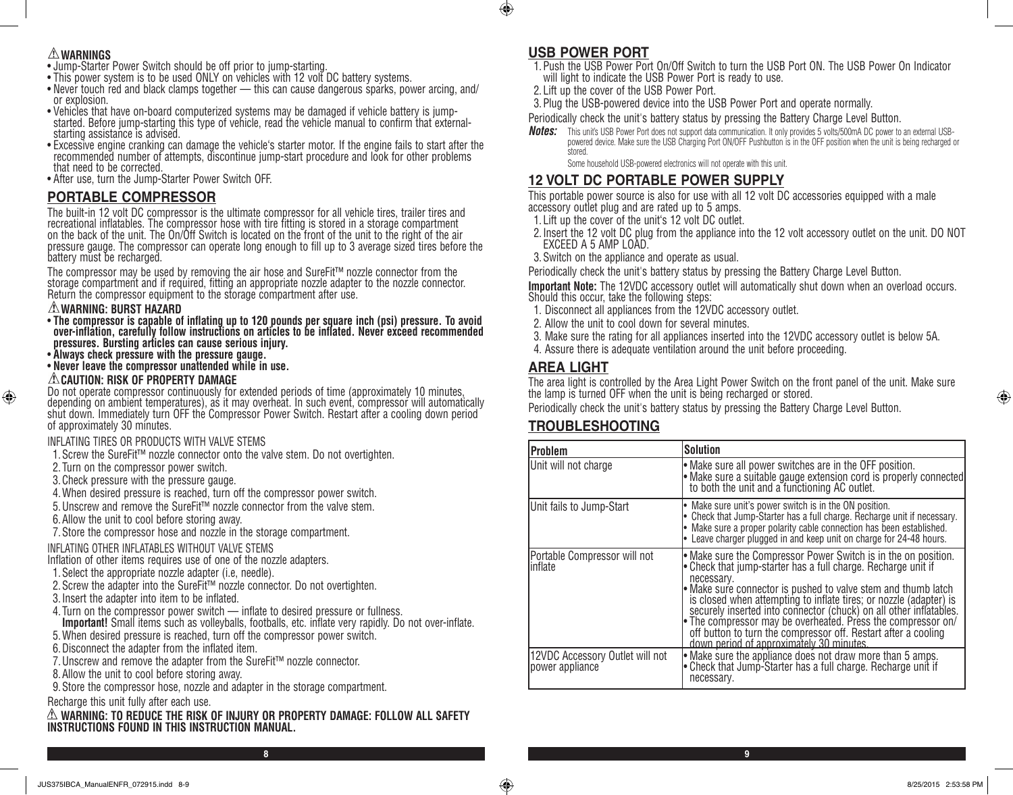- **WARNINGS** Jump-Starter Power Switch should be off prior to jump-starting.
- This power system is to be used ONLY on vehicles with 12 volt DC battery systems.
- Never touch red and black clamps together this can cause dangerous sparks, power arcing, and/ or explosion.
- Vehicles that have on-board computerized systems may be damaged if vehicle battery is jumpstarted. Before jump-starting this type of vehicle, read the vehicle manual to confirm that externalstarting assistance is advised.
- Excessive engine cranking can damage the vehicle's starter motor. If the engine fails to start after the recommended number of attempts, discontinue jump-start procedure and look for other problems that need to be corrected.
- After use, turn the Jump-Starter Power Switch OFF.

# **PORTABLE COMPRESSOR**

The built-in 12 volt DC compressor is the ultimate compressor for all vehicle tires, trailer tires and recreational inflatables. The compressor hose with tire fitting is stored in a storage compartment on the back of the unit. The On/Off Switch is located on the front of the unit to the right of the air pressure gauge. The compressor can operate long enough to fill up to 3 average sized tires before the battery must be recharged.

The compressor may be used by removing the air hose and SureFit™ nozzle connector from the storage compartment and if required, fitting an appropriate nozzle adapter to the nozzle connector. Return the compressor equipment to the storage compartment after use.

#### **WARNING: BURST HAZARD**

⊕

- **The compressor is capable of inflating up to 120 pounds per square inch (psi) pressure. To avoid over-inflation, carefully follow instructions on articles to be inflated. Never exceed recommended pressures. Bursting articles can cause serious injury.**
- **Always check pressure with the pressure gauge.**
- **Never leave the compressor unattended while in use.**

# **CAUTION: RISK OF PROPERTY DAMAGE**

Do not operate compressor continuously for extended periods of time (approximately 10 minutes, depending on ambient temperatures), as it may overheat. In such event, compressor will automatically shut down. Immediately turn OFF the Compressor Power Switch. Restart after a cooling down period of approximately 30 minutes.

# INFLATING TIRES OR PRODUCTS WITH VALVE STEMS

- 1.Screw the SureFit™ nozzle connector onto the valve stem. Do not overtighten.
- 2. Turn on the compressor power switch.
- 3.Check pressure with the pressure gauge.
- 4. When desired pressure is reached, turn off the compressor power switch.
- 5.Unscrew and remove the SureFit™ nozzle connector from the valve stem.
- 6.Allow the unit to cool before storing away.
- 7.Store the compressor hose and nozzle in the storage compartment.

# INFLATING OTHER INFLATABLES WITHOUT VALVE STEMS

- Inflation of other items requires use of one of the nozzle adapters.
- 1.Select the appropriate nozzle adapter (i.e, needle).
- 2.Screw the adapter into the SureFit™ nozzle connector. Do not overtighten.
- 3.Insert the adapter into item to be inflated.
- 4. Turn on the compressor power switch inflate to desired pressure or fullness.
- **Important!** Small items such as volleyballs, footballs, etc. inflate very rapidly. Do not over-inflate.
- 5. When desired pressure is reached, turn off the compressor power switch.
- 6.Disconnect the adapter from the inflated item.
- 7.Unscrew and remove the adapter from the SureFit™ nozzle connector.
- 8.Allow the unit to cool before storing away.
- 9.Store the compressor hose, nozzle and adapter in the storage compartment.

# Recharge this unit fully after each use.

#### **WARNING: TO REDUCE THE RISK OF INJURY OR PROPERTY DAMAGE: FOLLOW ALL SAFETY INSTRUCTIONS FOUND IN THIS INSTRUCTION MANUAL.**

# **USB POWER PORT**

 $\bigcirc$ 

- 1.Push the USB Power Port On/Off Switch to turn the USB Port ON. The USB Power On Indicator will light to indicate the USB Power Port is ready to use.
- 2. Lift up the cover of the USB Power Port.
- 3.Plug the USB-powered device into the USB Power Port and operate normally.
- Periodically check the unit's battery status by pressing the Battery Charge Level Button.
- *Notes:* This unit's USB Power Port does not support data communication. It only provides 5 volts/500mA DC power to an external USBpowered device. Make sure the USB Charging Port ON/OFF Pushbutton is in the OFF position when the unit is being recharged or stored.

# Some household USB-powered electronics will not operate with this unit.

# **12 VOLT DC PORTABLE POWER SUPPLY**

This portable power source is also for use with all 12 volt DC accessories equipped with a male accessory outlet plug and are rated up to 5 amps.

- 1. Lift up the cover of the unit's 12 volt DC outlet.
- 2.Insert the 12 volt DC plug from the appliance into the 12 volt accessory outlet on the unit. DO NOT EXCEED A 5 AMP LOAD.
- 3.Switch on the appliance and operate as usual.

Periodically check the unit's battery status by pressing the Battery Charge Level Button.

**Important Note:** The 12VDC accessory outlet will automatically shut down when an overload occurs. Should this occur, take the following steps:

- 1. Disconnect all appliances from the 12VDC accessory outlet.
- 2. Allow the unit to cool down for several minutes.
- 3. Make sure the rating for all appliances inserted into the 12VDC accessory outlet is below 5A.
- 4. Assure there is adequate ventilation around the unit before proceeding.

# **AREA LIGHT**

The area light is controlled by the Area Light Power Switch on the front panel of the unit. Make sure the lamp is turned OFF when the unit is being recharged or stored.

Periodically check the unit's battery status by pressing the Battery Charge Level Button.

# **TROUBLESHOOTING**

| <b>Problem</b>                                     | <b>Solution</b>                                                                                                                                                                                                                                                                                                                                                                                                                                                                                                                          |
|----------------------------------------------------|------------------------------------------------------------------------------------------------------------------------------------------------------------------------------------------------------------------------------------------------------------------------------------------------------------------------------------------------------------------------------------------------------------------------------------------------------------------------------------------------------------------------------------------|
| Unit will not charge                               | $\bullet$ Make sure all power switches are in the OFF position.<br>• Make sure a suitable gauge extension cord is properly connected<br>to both the unit and a functioning AC outlet.                                                                                                                                                                                                                                                                                                                                                    |
| Unit fails to Jump-Start                           | Make sure unit's power switch is in the ON position.<br>Check that Jump-Starter has a full charge. Recharge unit if necessary.<br>• Make sure a proper polarity cable connection has been established.<br>Leave charger plugged in and keep unit on charge for 24-48 hours.                                                                                                                                                                                                                                                              |
| Portable Compressor will not<br>linflate           | • Make sure the Compressor Power Switch is in the on position.<br>• Check that jump-starter has a full charge. Recharge unit if<br>necessary.<br>• Make sure connector is pushed to valve stem and thumb latch<br>is closed when attempting to inflate tires; or nozzle (adapter) is<br>securely inserted into connector (chuck) on all other inflatables.<br>• The compressor may be overheated. Press the compressor on/<br>off button to turn the compressor off. Restart after a cooling<br>down period of approximately 30 minutes. |
| 12VDC Accessory Outlet will not<br>power appliance | • Make sure the appliance does not draw more than 5 amps.<br>• Check that Jump-Starter has a full charge. Recharge unit if<br>necessary.                                                                                                                                                                                                                                                                                                                                                                                                 |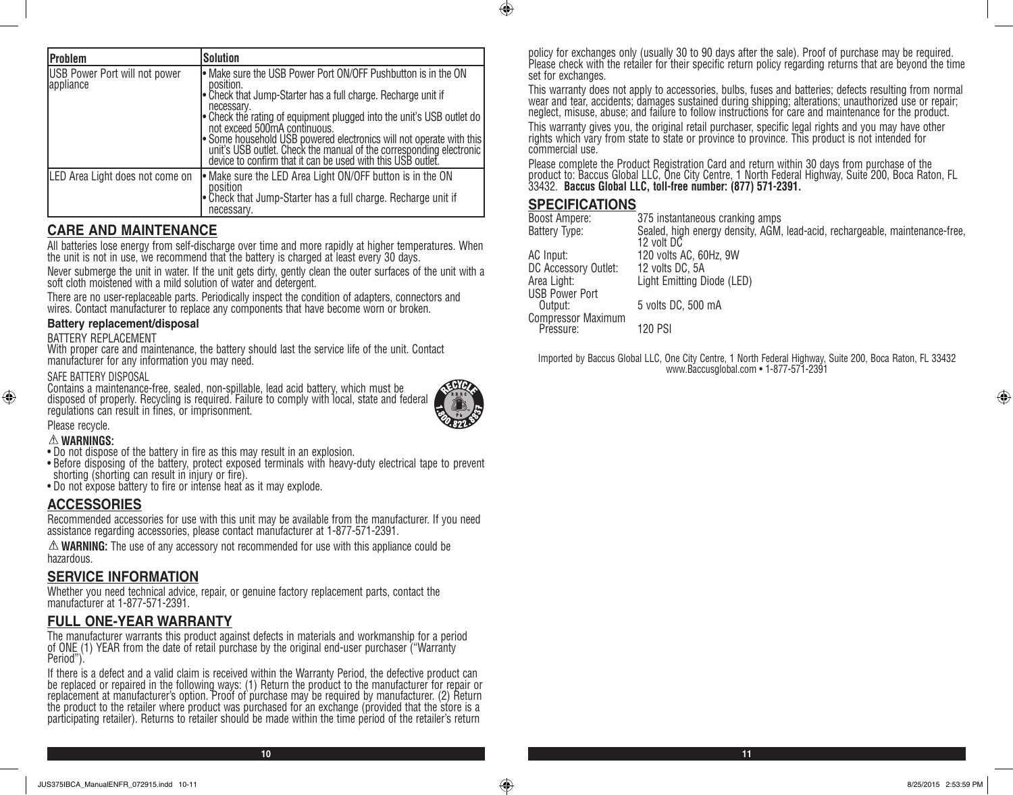| <b>Problem</b>                             | <b>Solution</b>                                                                                                                                                                                                                                                                                                                                                                                                                                                               |
|--------------------------------------------|-------------------------------------------------------------------------------------------------------------------------------------------------------------------------------------------------------------------------------------------------------------------------------------------------------------------------------------------------------------------------------------------------------------------------------------------------------------------------------|
| USB Power Port will not power<br>appliance | • Make sure the USB Power Port ON/OFF Pushbutton is in the ON<br>position.<br>• Check that Jump-Starter has a full charge. Recharge unit if<br>necessary.<br>• Check the rating of equipment plugged into the unit's USB outlet do<br>not exceed 500mA continuous.<br>Some household USB powered electronics will not operate with this<br>unit's USB outlet. Check the manual of the corresponding electronic<br>device to confirm that it can be used with this USB outlet. |
| LED Area Light does not come on            | • Make sure the LED Area Light ON/OFF button is in the ON<br>position<br>• Check that Jump-Starter has a full charge. Recharge unit if<br>necessary.                                                                                                                                                                                                                                                                                                                          |

# **CARE AND MAINTENANCE**

All batteries lose energy from self-discharge over time and more rapidly at higher temperatures. When the unit is not in use, we recommend that the battery is charged at least every 30 days.

Never submerge the unit in water. If the unit gets dirty, gently clean the outer surfaces of the unit with a soft cloth moistened with a mild solution of water and detergent.

There are no user-replaceable parts. Periodically inspect the condition of adapters, connectors and wires. Contact manufacturer to replace any components that have become worn or broken.

#### **Battery replacement/disposal**

#### BATTERY REPLACEMENT

With proper care and maintenance, the battery should last the service life of the unit. Contact manufacturer for any information you may need.

#### SAFE BATTERY DISPOSAL

Contains a maintenance-free, sealed, non-spillable, lead acid battery, which must be disposed of properly. Recycling is required. Failure to comply with local, state and federal regulations can result in fines, or imprisonment.



#### Please recycle.

#### **WARNINGS:**

⊕

- Do not dispose of the battery in fire as this may result in an explosion.
- Before disposing of the battery, protect exposed terminals with heavy-duty electrical tape to prevent shorting (shorting can result in injury or fire).
- Do not expose battery to fire or intense heat as it may explode.

# **ACCESSORIES**

Recommended accessories for use with this unit may be available from the manufacturer. If you need assistance regarding accessories, please contact manufacturer at 1-877-571-2391.

**WARNING:** The use of any accessory not recommended for use with this appliance could be hazardous.

# **SERVICE INFORMATION**

Whether you need technical advice, repair, or genuine factory replacement parts, contact the manufacturer at 1-877-571-2391.

# **FULL ONE-YEAR WARRANTY**

The manufacturer warrants this product against defects in materials and workmanship for a period of ONE (1) YEAR from the date of retail purchase by the original end-user purchaser ("Warranty Period").

If there is a defect and a valid claim is received within the Warranty Period, the defective product can be replaced or repaired in the following ways: (1) Return the product to the manufacturer for repair or replacement at manufacturer's option. Proof of purchase may be required by manufacturer. (2) Return the product to the retailer where product was purchased for an exchange (provided that the store is a participating retailer). Returns to retailer should be made within the time period of the retailer's return

policy for exchanges only (usually 30 to 90 days after the sale). Proof of purchase may be required. Please check with the retailer for their specific return policy regarding returns that are beyond the time set for exchanges.

This warranty does not apply to accessories, bulbs, fuses and batteries; defects resulting from normal wear and tear, accidents; damages sustained during shipping; alterations; unauthorized use or repair; neglect, misuse, abuse; and failure to follow instructions for care and maintenance for the product.

This warranty gives you, the original retail purchaser, specific legal rights and you may have other rights which vary from state to state or province to province. This product is not intended for commercial use.

Please complete the Product Registration Card and return within 30 days from purchase of the product to: Baccus Global LLC, One City Centre, 1 North Federal Highway, Suite 200, Boca Raton, FL 33432. **Baccus Global LLC, toll-free number: (877) 571-2391.** 

### **SPECIFICATIONS**

 $\bigcirc$ 

| Boost Ampere:                          | 375 instantaneous cranking amps                                                            |
|----------------------------------------|--------------------------------------------------------------------------------------------|
| Battery Type:                          | Sealed, high energy density, AGM, lead-acid, rechargeable, maintenance-free,<br>12 volt DC |
| AC Input:                              | 120 volts AC, 60Hz, 9W                                                                     |
| DC Accessory Outlet:                   | 12 volts DC, 5A                                                                            |
| Area Light:                            | Light Emitting Diode (LED)                                                                 |
| <b>USB Power Port</b>                  |                                                                                            |
| Output:                                | 5 volts DC, 500 mA                                                                         |
| <b>Compressor Maximum</b><br>Pressure: | 120 PSI                                                                                    |
|                                        |                                                                                            |

Imported by Baccus Global LLC, One City Centre, 1 North Federal Highway, Suite 200, Boca Raton, FL 33432 www.Baccusglobal.com • 1-877-571-2391

⊕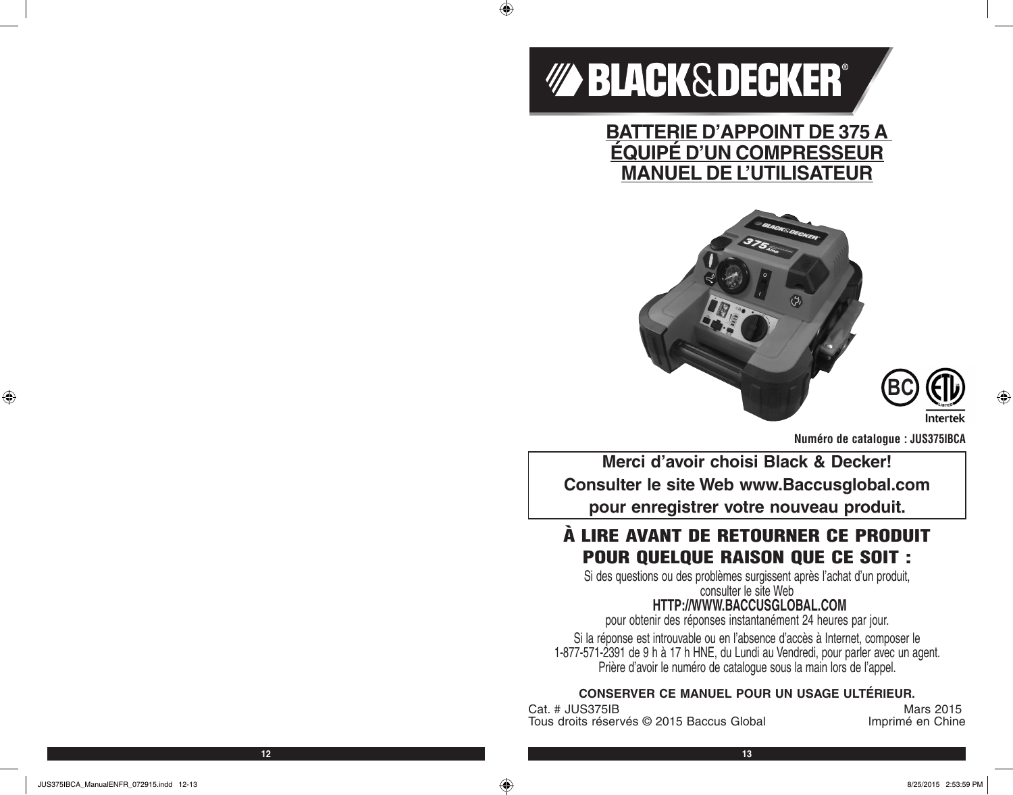# *MA BLACK&DECKER®*

 $\bigoplus$ 

**BATTERIE D'APPOINT DE 375 A ÉQUIPÉ D'UN COMPRESSEUR MANUEL DE L'UTILISATEUR**





**Numéro de catalogue : JUS375IBCA**

**Merci d'avoir choisi Black & Decker! Consulter le site Web www.Baccusglobal.com pour enregistrer votre nouveau produit.**

# À LIRE AVANT DE RETOURNER CE PRODUIT POUR QUELQUE RAISON QUE CE SOIT :

Si des questions ou des problèmes surgissent après l'achat d'un produit, consulter le site Web

# **HTTP://WWW.BACCUSGLOBAL.COM**

pour obtenir des réponses instantanément 24 heures par jour.

Si la réponse est introuvable ou en l'absence d'accès à Internet, composer le 1-877-571-2391 de 9 h à 17 h HNE, du Lundi au Vendredi, pour parler avec un agent. Prière d'avoir le numéro de catalogue sous la main lors de l'appel.

# **CONSERVER CE MANUEL POUR UN USAGE ULTÉRIEUR.**

Cat. # JUS375IB Mars 2015<br>Tous droits réservés © 2015 Baccus Global Mars 2015 Tous droits réservés © 2015 Baccus Global

⊕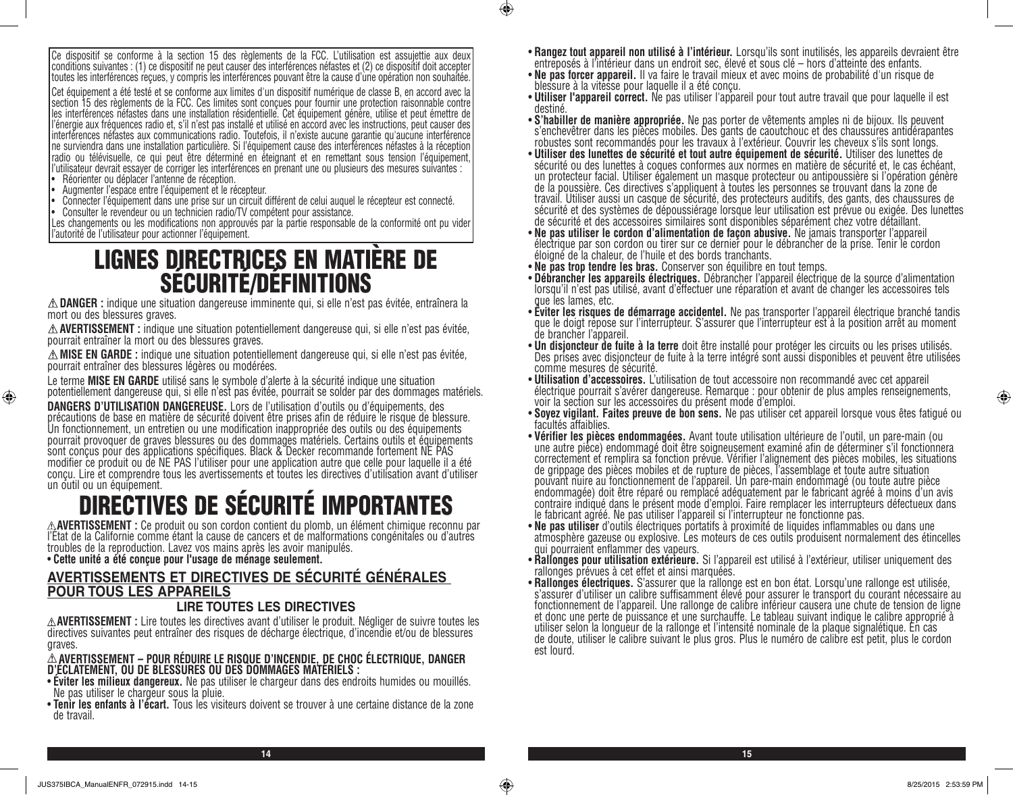Ce dispositif se conforme à la section 15 des règlements de la FCC. L'utilisation est assujettie aux deux conditions suivantes : (1) ce dispositif ne peut causer des interférences néfastes et (2) ce dispositif doit accepter toutes les interférences reçues, y compris les interférences pouvant être la cause d'une opération non souhaitée. Cet équipement a été testé et se conforme aux limites d'un dispositif numérique de classe B, en accord avec la section 15 des règlements de la FCC. Ces limites sont conçues pour fournir une protection raisonnable contre les interférences néfastes dans une installation résidentielle. Cet équipement génère, utilise et peut émettre de l'énergie aux fréquences radio et, s'il n'est pas installé et utilisé en accord avec les instructions, peut causer des interférences néfastes aux communications radio. Toutefois, il n'existe aucune garantie qu'aucune interférence ne surviendra dans une installation particulière. Si l'équipement cause des interférences néfastes à la réception radio ou télévisuelle, ce qui peut être déterminé en éteignant et en remettant sous tension l'équipement, l'utilisateur devrait essayer de corriger les interférences en prenant une ou plusieurs des mesures suivantes :

Réorienter ou déplacer l'antenne de réception.

⊕

- Augmenter l'espace entre l'équipement et le récepteur.
- Connecter l'équipement dans une prise sur un circuit différent de celui auquel le récepteur est connecté.
- Consulter le revendeur ou un technicien radio/TV compétent pour assistance.

Les changements ou les modifications non approuvés par la partie responsable de la conformité ont pu vider l'autorité de l'utilisateur pour actionner l'équipement.

# LIGNES DIRECTRICES EN MATIÈRE DE SÉCURITÉ/DÉFINITIONS

**DANGER :** indique une situation dangereuse imminente qui, si elle n'est pas évitée, entraînera la mort ou des blessures graves.

**AVERTISSEMENT :** indique une situation potentiellement dangereuse qui, si elle n'est pas évitée, pourrait entraîner la mort ou des blessures graves.

**MISE EN GARDE :** indique une situation potentiellement dangereuse qui, si elle n'est pas évitée, pourrait entraîner des blessures légères ou modérées.

Le terme **MISE EN GARDE** utilisé sans le symbole d'alerte à la sécurité indique une situation potentiellement dangereuse qui, si elle n'est pas évitée, pourrait se solder par des dommages matériels.

**DANGERS D'UTILISATION DANGEREUSE.** Lors de l'utilisation d'outils ou d'équipements, des précautions de base en matière de sécurité doivent être prises afin de réduire le risque de blessure. Un fonctionnement, un entretien ou une modification inappropriée des outils ou des équipements pourrait provoquer de graves blessures ou des dommages matériels. Certains outils et équipements sont conçus pour des applications spécifiques. Black & Decker recommande fortement NE PAS modifier ce produit ou de NE PAS l'utiliser pour une application autre que celle pour laquelle il a été conçu. Lire et comprendre tous les avertissements et toutes les directives d'utilisation avant d'utiliser un outil ou un équipement.

# **DIRECTIVES DE SÉCURITÉ IMPORTANTES**<br>A AVERTISSEMENT : Ce produit ou son cordon contient du plomb, un élément chimique reconnu par

l'Etat de la Californie comme étant la cause de cancers et de malformations congénitales ou d'autres troubles de la reproduction. Lavez vos mains après les avoir manipulés.

• **Cette unité a été conçue pour l'usage de ménage seulement.** 

# **AVERTISSEMENTS ET DIRECTIVES DE SÉCURITÉ GÉNÉRALES POUR TOUS LES APPAREILS**

#### **LIRE TOUTES LES DIRECTIVES**

**AVERTISSEMENT :** Lire toutes les directives avant d'utiliser le produit. Négliger de suivre toutes les directives suivantes peut entraîner des risques de décharge électrique, d'incendie et/ou de blessures graves.

**AVERTISSEMENT – POUR RÉDUIRE LE RISQUE D'INCENDIE, DE CHOC ÉLECTRIQUE, DANGER D'ÉCLATEMENT, OU DE BLESSURES OU DES DOMMAGES MATÉRIELS :**

- **Éviter les milieux dangereux.** Ne pas utiliser le chargeur dans des endroits humides ou mouillés. Ne pas utiliser le chargeur sous la pluie.
- **Tenir les enfants à l'écart.** Tous les visiteurs doivent se trouver à une certaine distance de la zone de travail.
- **Rangez tout appareil non utilisé à l'intérieur.** Lorsqu'ils sont inutilisés, les appareils devraient être entreposés à l'intérieur dans un endroit sec, élevé et sous clé hors d'atteinte des enfants.
- **Ne pas forcer appareil.** Il va faire le travail mieux et avec moins de probabilité d'un risque de blessure à la vitesse pour laquelle il a été conçu.
- Utili**ser l'appareil correct.** Ne pas utiliser l'appareil pour tout autre travail que pour laquelle il est<br>destiné.<br>• S'h**abiller de manière appropriée.** Ne pas porter de vêtements amples ni de bijoux. Ils peuvent
- **S'habiller de manière appropriée.** Ne pas porter de vêtements amples ni de bijoux. Ils peuvent<br>s'enchevêtrer dans les pièces mobiles. Des gants de caoutchouc et des chaussures antidérapantes robustes sont recommandés pour les travaux à l'extérieur. Couvrir les cheveux s'ils sont longs.
- **Utiliser des lunettes de sécurité et tout autre équipement de sécurité.** Utiliser des lunettes de sécurité ou des lunettes à coques conformes aux normes en matière de sécurité et, le cas échéant, un protecteur facial. Utiliser également un masque protecteur ou antipoussière si l'opération génère de la poussière. Ces directives s'appliquent à toutes les personnes se trouvant dans la zone de travail. Utiliser aussi un casque de sécurité, des protecteurs auditifs, des gants, des chaussures de sécurité et des systèmes de dépoussiérage lorsque leur utilisation est prévue ou exigée. Des lunettes
- de sécurité et des accessoires similaires sont disponibles séparément chez votre détaillant.<br>• Ne pas utiliser le cordon d'alimentation de façon abusive. Ne jamais transporter l'appareil • **Ne pas utiliser le cordon d'alimentation de façon abusive.** Ne jamais transporter l'appareil électrique par son cordon ou tirer sur ce dernier pour le débrancher de la prise. Tenir le cordon éloigné de la chaleur, de l'huile et des bords tranchants.
- 
- **Ne pas trop tendre les bras.** Conserver son équilibre en tout temps. lorsqu'il n'est pas utilisé, avant d'effectuer une réparation et avant de changer les accessoires tels
- que les lames, etc.<br>• Éviter les risques de démarrage accidentel. Ne pas transporter l'appareil électrique branché tandis que le doigt repose sur l'interrupteur. S'assurer que l'interrupteur est à la position arrêt au moment de brancher l'appareil.<br>• **Un disjoncteur de fuite à la terre** doit être installé pour protéger les circuits ou les prises utilisés.
- Des prises avec disjoncteur de fuite à la terre intégré sont aussi disponibles et peuvent être utilisées comme mesures de sécurité.<br>• Utilisation d'accessoires. L'utilisation de tout accessoire non recommandé avec cet appareil
- **Utilisation d'accessoires.** L'utilisation de tout accessoire non recommandé avec cet appareil électrique pourrait s'avérer dangereuse. Remarque : pour obtenir de plus amples renseignements, voir la section sur les accessoires du présent mode d'emploi.
- **Soyez vigilant. Faites preuve de bon sens.** Ne pas utiliser cet appareil lorsque vous êtes fatigué ou facultés affaiblies.
- une autre pièce) endommagé doit être soigneusement examiné afin de déterminer s'il fonctionnera correctement et remplira sa fonction prévue. Vérifier l'alignement des pièces mobiles, les situations de grippage des pièces mobiles et de rupture de pièces, l'assemblage et toute autre situation pouvant nuire au fonctionnement de l'appareil. Un pare-main endommagé (ou toute autre pièce endommagée) doit être réparé ou remplacé adéquatement par le fabricant agréé à moins d'un avis contraire indiqué dans le présent mode d'emploi. Faire remplacer les interrupteurs défectueux dans
- le fabricant agréé. Ne pas utiliser l'appareil si l'interrupteur ne fonctionne pas.<br>• Ne pas utiliser d'outils électriques portatifs à proximité de liquides inflammables ou dans une atmosphère gazeuse ou explosive. Les moteurs de ces outils produisent normalement des étincelles qui pourraient enflammer des vapeurs.
- **Rallonges pour utilisation extérieure.** Si l'appareil est utilisé à l'extérieur, utiliser uniquement des rallonges prévues à cet effet et ainsi marquées.
- **Rallonges électriques.** S'assurer que la rallonge est en bon état. Lorsqu'une rallonge est utilisée, s'assurer d'utiliser un calibre suffisamment élevé pour assurer le transport du courant nécessaire au fonctionnement de l'appareil. Une rallonge de calibre inférieur causera une chute de tension de ligne et donc une perte de puissance et une surchauffe. Le tableau suivant indique le calibre approprié à utiliser selon la longueur de la rallonge et l'intensité nominale de la plaque signalétique. En cas de doute, utiliser le calibre suivant le plus gros. Plus le numéro de calibre est petit, plus le cordon est lourd.

**14 15**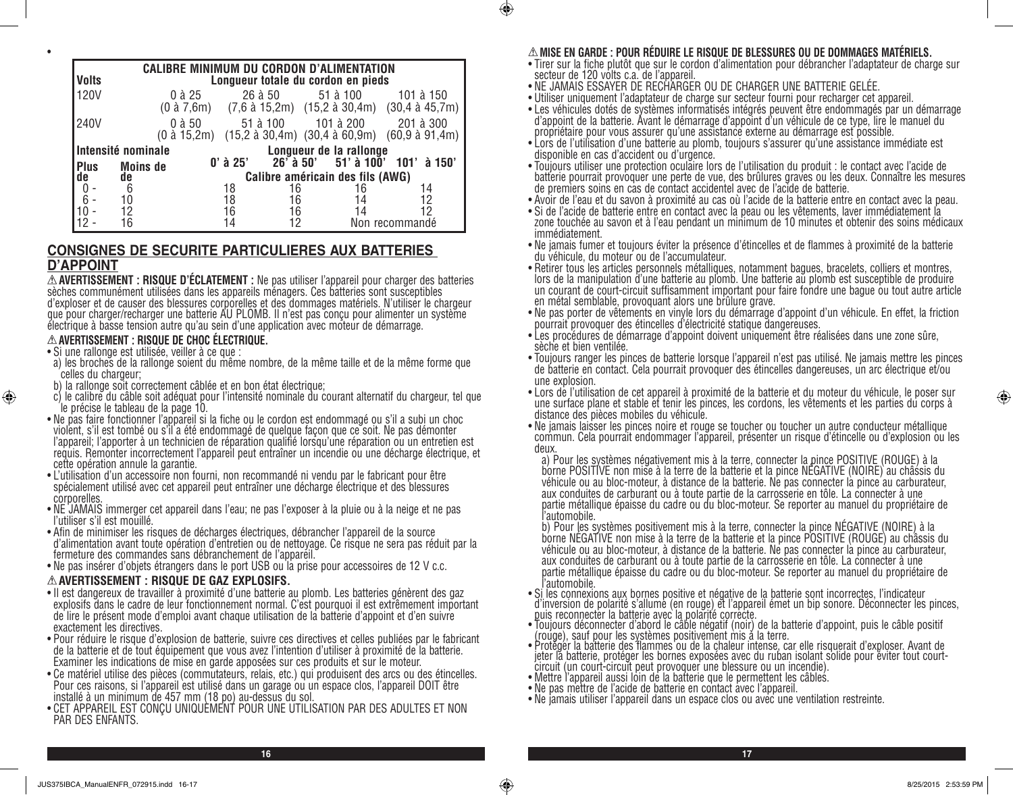|              |                                      |            |          | <b>CALIBRE MINIMUM DU CORDON D'ALIMENTATION</b> |                                                                                                                                             |
|--------------|--------------------------------------|------------|----------|-------------------------------------------------|---------------------------------------------------------------------------------------------------------------------------------------------|
| <b>Volts</b> |                                      |            |          | Longueur totale du cordon en pieds              |                                                                                                                                             |
| 120V         | 0 à 25                               |            | 26 à 50  | 51 à 100                                        | 101 à 150<br>$(0 \text{ à } 7,6\text{m})$ $(7,6 \text{ à } 15,2\text{m})$ $(15,2 \text{ à } 30,4\text{m})$ $(30,4 \text{ à } 45,7\text{m})$ |
| 240V         | $0$ à $50$<br>$(0 \text{ à } 15,2m)$ |            | 51 à 100 | 101 à 200                                       | 201 à 300<br>$(15,2 \text{ à } 30,4\text{m})$ $(30,4 \text{ à } 60,9\text{m})$ $(60,9 \text{ à } 91,4\text{m})$                             |
|              | Intensité nominale                   |            |          | Longueur de la rallonge                         |                                                                                                                                             |
| <b>Plus</b>  | <b>Moins de</b>                      | $0'$ à 25' |          | $26'$ à 50' 51' à 100'                          | 101'à 150'                                                                                                                                  |
|              | de<br>de                             |            |          | Calibre américain des fils (AWG)                |                                                                                                                                             |
|              | 6                                    | 18         | 16       | 16                                              | 14                                                                                                                                          |
|              | 10                                   | 18         | 16       | 14                                              | 12                                                                                                                                          |
|              | 12                                   | 16         | 16       | 14                                              | 12                                                                                                                                          |
|              |                                      | 14         |          |                                                 | Non recommandé                                                                                                                              |

#### **CONSIGNES DE SECURITE PARTICULIERES AUX BATTERIES D'APPOINT**

**AVERTISSEMENT : RISQUE D'ÉCLATEMENT :** Ne pas utiliser l'appareil pour charger des batteries sèches communément utilisées dans les appareils ménagers. Ces batteries sont susceptibles d'exploser et de causer des blessures corporelles et des dommages matériels. N'utiliser le chargeur que pour charger/recharger une batterie AU PLOMB. Il n'est pas conçu pour alimenter un système électrique à basse tension autre qu'au sein d'une application avec moteur de démarrage.

**AVERTISSEMENT : RISQUE DE CHOC ÉLECTRIQUE.** • Si une rallonge est utilisée, veiller à ce que :

•

⊕

- a) les broches de la rallonge soient du même nombre, de la même taille et de la même forme que celles du chargeur;
- b) la rallonge soit correctement câblée et en bon état électrique;
- c) le calibre du câble soit adéquat pour l'intensité nominale du courant alternatif du chargeur, tel que le précise le tableau de la page 10.
- Ne pas faire fonctionner l'appareil si la fiche ou le cordon est endommagé ou s'il a subi un choc violent, s'il est tombé ou s'il a été endommagé de quelque façon que ce soit. Ne pas démonter l'appareil; l'apporter à un technicien de réparation qualifié lorsqu'une réparation ou un entretien est requis. Remonter incorrectement l'appareil peut entraîner un incendie ou une décharge électrique, et cette opération annule la garantie.
- L'utilisation d'un accessoire non fourni, non recommandé ni vendu par le fabricant pour être spécialement utilisé avec cet appareil peut entraîner une décharge électrique et des blessures corporelles.
- NE JAMAIS immerger cet appareil dans l'eau; ne pas l'exposer à la pluie ou à la neige et ne pas l'utiliser s'il est mouillé.
- Afin de minimiser les risques de décharges électriques, débrancher l'appareil de la source d'alimentation avant toute opération d'entretien ou de nettoyage. Ce risque ne sera pas réduit par la fermeture des commandes sans débranchement de l'appareil.
- Ne pas insérer d'objets étrangers dans le port USB ou la prise pour accessoires de 12 V c.c.

#### **AVERTISSEMENT : RISQUE DE GAZ EXPLOSIFS.**

- Il est dangereux de travailler à proximité d'une batterie au plomb. Les batteries génèrent des gaz explosifs dans le cadre de leur fonctionnement normal. C'est pourquoi il est extrêmement important de lire le présent mode d'emploi avant chaque utilisation de la batterie d'appoint et d'en suivre exactement les directives.
- Pour réduire le risque d'explosion de batterie, suivre ces directives et celles publiées par le fabricant de la batterie et de tout équipement que vous avez l'intention d'utiliser à proximité de la batterie. Examiner les indications de mise en garde apposées sur ces produits et sur le moteur.
- Ce matériel utilise des pièces (commutateurs, relais, etc.) qui produisent des arcs ou des étincelles. Pour ces raisons, si l'appareil est utilisé dans un garage ou un espace clos, l'appareil DOIT être installé à un minimum de 457 mm (18 po) au-dessus du sol.
- CET APPAREIL EST CONÇU UNIQUEMENT POUR UNE UTILISATION PAR DES ADULTES ET NON PAR DES ENFANTS.

#### **MISE EN GARDE : POUR RÉDUIRE LE RISQUE DE BLESSURES OU DE DOMMAGES MATÉRIELS.**

- Tirer sur la fiche plutôt que sur le cordon d'alimentation pour débrancher l'adaptateur de charge sur secteur de 120 volts c.a. de l'appareil.
- NE JAMAIS ESSAYER DE RECHARGER OU DE CHARGER UNE BATTERIE GELÉE.
- Utiliser uniquement l'adaptateur de charge sur secteur fourni pour recharger cet appareil.
- Les véhicules dotés de systèmes informatisés intégrés peuvent être endommagés par un démarrage d'appoint de la batterie. Avant le démarrage d'appoint d'un véhicule de ce type, lire le manuel du propriétaire pour vous assurer qu'une assistance externe au démarrage est possible.
- Lors de l'utilisation d'une batterie au plomb, toujours s'assurer qu'une assistance immédiate est disponible en cas d'accident ou d'urgence.
- Toujours utiliser une protection oculaire lors de l'utilisation du produit : le contact avec l'acide de batterie pourrait provoquer une perte de vue, des brûlures graves ou les deux. Connaître les mesures de premiers soins en cas de contact accidentel avec de l'acide de batterie.
- Avoir de l'eau et du savon à proximité au cas où l'acide de la batterie entre en contact avec la peau.
- Si de l'acide de batterie entre en contact avec la peau ou les vêtements, laver immédiatement la zone touchée au savon et à l'eau pendant un minimum de 10 minutes et obtenir des soins médicaux immédiatement.
- Ne jamais fumer et toujours éviter la présence d'étincelles et de flammes à proximité de la batterie du véhicule, du moteur ou de l'accumulateur.
- Retirer tous les articles personnels métalliques, notamment bagues, bracelets, colliers et montres, lors de la manipulation d'une batterie au plomb. Une batterie au plomb est susceptible de produire un courant de court-circuit suffisamment important pour faire fondre une bague ou tout autre article en métal semblable, provoquant alors une brûlure grave.
- Ne pas porter de vêtements en vinyle lors du démarrage d'appoint d'un véhicule. En effet, la friction pourrait provoquer des étincelles d'électricité statique dangereuses.
- Les procédures de démarrage d'appoint doivent uniquement être réalisées dans une zone sûre, sèche et bien ventilée.
- Toujours ranger les pinces de batterie lorsque l'appareil n'est pas utilisé. Ne jamais mettre les pinces de batterie en contact. Cela pourrait provoquer des étincelles dangereuses, un arc électrique et/ou une explosion.
- Lors de l'utilisation de cet appareil à proximité de la batterie et du moteur du véhicule, le poser sur une surface plane et stable et tenir les pinces, les cordons, les vêtements et les parties du corps à distance des pièces mobiles du véhicule.
- Ne jamais laisser les pinces noire et rouge se toucher ou toucher un autre conducteur métallique commun. Cela pourrait endommager l'appareil, présenter un risque d'étincelle ou d'explosion ou les deux.<br>a) Pour les systèmes négativement mis à la terre, connecter la pince POSITIVE (ROUGE) à la

a) Pour les systèmes négativement mis à la terre, connecter la pince POSITIVE (ROUGE) à la<br>borne POSITIVE non mise à la terre de la batterie et la pince NÉGATIVE (NOIRE) au châssis du véhicule ou au bloc-moteur, à distance de la batterie. Ne pas connecter la pince au carburateur, aux conduites de carburant ou à toute partie de la carrosserie en tôle. La connecter à une partie métallique épaisse du cadre ou du bloc-moteur. Se reporter au manuel du propriétaire de

l'automobile.<br>b) Pour les systèmes positivement mis à la terre, connecter la pince NÉGATIVE (NOIRE) à la borne NÉGATIVE non mise à la terre de la batterie et la pince POSITIVE (ROUGE) au châssis du véhicule ou au bloc-moteur, à distance de la batterie. Ne pas connecter la pince au carburateur, aux conduites de carburant ou à toute partie de la carrosserie en tôle. La connecter à une partie métallique épaisse du cadre ou du bloc-moteur. Se reporter au manuel du propriétaire de

l'automobile. • Si les connexions aux bornes positive et négative de la batterie sont incorrectes, l'indicateur d'inversion de polarité s'allume (en rouge) et l'appareil émet un bip sonore. Déconnecter les pinces, puis reconnecter la batterie avec la polarité correcte.

- Toujours déconnecter d'abord le câble négatif (noir) de la batterie d'appoint, puis le câble positif (rouge), sauf pour les systèmes positivement mis à la terre.
- Protéger la batterie des flammes ou de la chaleur intense, car elle risquerait d'exploser. Avant de jeter la batterie, protéger les bornes exposées avec du ruban isolant solide pour éviter tout courtcircuit (un court-circuit peut provoquer une blessure ou un incendie).
- Mettre l'appareil aussi loin de la batterie que le permettent les câbles.
- Ne pas mettre de l'acide de batterie en contact avec l'appareil.
- Ne jamais utiliser l'appareil dans un espace clos ou avec une ventilation restreinte.

**16 17**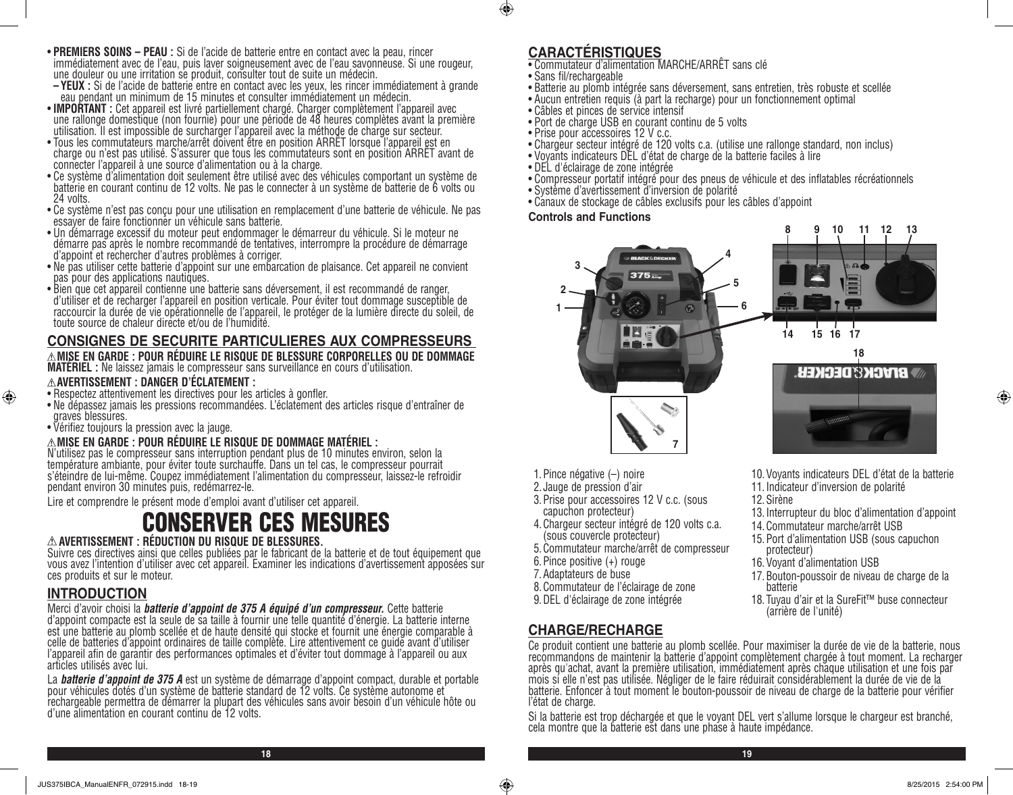- **PREMIERS SOINS PEAU :** Si de l'acide de batterie entre en contact avec la peau, rincer immédiatement avec de l'eau, puis laver soigneusement avec de l'eau savonneuse. Si une rougeur,
- une douleur ou une irritation se produit, consulter tout de suite un médecin.<br>
 YEUX : Si de l'acide de batterie entre en contact avec les yeux, les rincer immédiatement à grande<br>
eau pendant un minimum de 15 minutes et c
- IMPORTANT : Cet appareil est livré partiellement chargé. Charger complètement l'appareil avec<br>une rallonge domestique (non fournie) pour une période de 48 heures complètes avant la première utilisation. Il est impossible de surcharger l'appareil avec la méthode de charge sur secteur.
- Tous les commutateurs marche/arrêt doivent être en position ARRET lorsque l'appareil est en<br>charge ou n'est pas utilisé. S'assurer que tous les commutateurs sont en position ARRÊT avant de connecter l'appareil à une source d'alimentation ou à la charge.
- Ce système d'alimentation doit seulement être utilisé avec des véhicules comportant un système de batterie en courant continu de 12 volts. Ne pas le connecter à un système de batterie de 6 volts ou 24 volts.
- Ce système n'est pas conçu pour une utilisation en remplacement d'une batterie de véhicule. Ne pas essayer de faire fonctionner un véhicule sans batterie.
- Un démarrage excessif du moteur peut endommager le démarreur du véhicule. Si le moteur ne démarre pas après le nombre recommandé de tentatives, interrompre la procédure de démarrage d'appoint et rechercher d'autres problèmes à corriger.
- Ne pas utiliser cette batterie d'appoint sur une embarcation de plaisance. Cet appareil ne convient pas pour des applications nautiques.
- Bien que cet appareil contienne une batterie sans déversement, il est recommandé de ranger, d'utiliser et de recharger l'appareil en position verticale. Pour éviter tout dommage susceptible de raccourcir la durée de vie opérationnelle de l'appareil, le protéger de la lumière directe du soleil, de toute source de chaleur directe et/ou de l'humidité.

# **CONSIGNES DE SECURITE PARTICULIERES AUX COMPRESSEURS**

**MISE EN GARDE : POUR RÉDUIRE LE RISQUE DE BLESSURE CORPORELLES OU DE DOMMAGE MATÉRIEL :** Ne laissez jamais le compresseur sans surveillance en cours d'utilisation.

#### **AVERTISSEMENT : DANGER D'ÉCLATEMENT :**

- Respectez attentivement les directives pour les articles à gonfler.
- Ne dépassez jamais les pressions recommandées. L'éclatement des articles risque d'entraîner de graves blessures.
- Vérifiez toujours la pression avec la jauge.

#### **MISE EN GARDE : POUR RÉDUIRE LE RISQUE DE DOMMAGE MATÉRIEL :**

N'utilisez pas le compresseur sans interruption pendant plus de 10 minutes environ, selon la température ambiante, pour éviter toute surchauffe. Dans un tel cas, le compresseur pourrait s'éteindre de lui-même. Coupez immédiatement l'alimentation du compresseur, laissez-le refroidir pendant environ 30 minutes puis, redémarrez-le.

Lire et comprendre le présent mode d'emploi avant d'utiliser cet appareil.

# CONSERVER CES MESURES

#### **AVERTISSEMENT : RÉDUCTION DU RISQUE DE BLESSURES.**

Suivre ces directives ainsi que celles publiées par le fabricant de la batterie et de tout équipement que vous avez l'intention d'utiliser avec cet appareil. Examiner les indications d'avertissement apposées sur ces produits et sur le moteur.

# **INTRODUCTION**

⊕

Merci d'avoir choisi la *batterie d'appoint de 375 A équipé d'un compresseur.* Cette batterie d'appoint compacte est la seule de sa taille à fournir une telle quantité d'énergie. La batterie interne est une batterie au plomb scellée et de haute densité qui stocke et fournit une énergie comparable à celle de batteries d'appoint ordinaires de taille complète. Lire attentivement ce guide avant d'utiliser l'appareil afin de garantir des performances optimales et d'éviter tout dommage à l'appareil ou aux articles utilisés avec lui.

La *batterie d'appoint de 375 A* est un système de démarrage d'appoint compact, durable et portable pour véhicules dotés d'un système de batterie standard de 12 volts. Ce système autonome et rechargeable permettra de démarrer la plupart des véhicules sans avoir besoin d'un véhicule hôte ou d'une alimentation en courant continu de 12 volts.

# **CARACTÉRISTIQUES**

- Commutateur d'alimentation MARCHE/ARRÊT sans clé
	- Sans fil/rechargeable

 $\bigcirc$ 

- Batterie au plomb intégrée sans déversement, sans entretien, très robuste et scellée
- Aucun entretien requis (à part la recharge) pour un fonctionnement optimal
- Câbles et pinces de service intensif
- Port de charge USB en courant continu de 5 volts
- Prise pour accessoires 12 V c.c.
- Chargeur secteur intégré de 120 volts c.a. (utilise une rallonge standard, non inclus)
- Voyants indicateurs DEL d'état de charge de la batterie faciles à lire
- DEL d'éclairage de zone intégrée
- Compresseur portatif intégré pour des pneus de véhicule et des inflatables récréationnels
- Système d'avertissement d'inversion de polarité
- Canaux de stockage de câbles exclusifs pour les câbles d'appoint

#### **Controls and Functions**



10.Voyants indicateurs DEL d'état de la batterie

13.Interrupteur du bloc d'alimentation d'appoint

17.Bouton-poussoir de niveau de charge de la

18. Tuyau d'air et la SureFit™ buse connecteur

11.Indicateur d'inversion de polarité

14.Commutateur marche/arrêt USB 15.Port d'alimentation USB (sous capuchon

16.Voyant d'alimentation USB

(arrière de l'unité)

12.Sirène

protecteur)

batterie

- 1.Pince négative (–) noire
- 2. Jauge de pression d'air
- 3.Prise pour accessoires 12 V c.c. (sous capuchon protecteur)
- 4.Chargeur secteur intégré de 120 volts c.a. (sous couvercle protecteur)
- 5.Commutateur marche/arrêt de compresseur
- 6.Pince positive (+) rouge
- 7.Adaptateurs de buse
- 8.Commutateur de l'éclairage de zone
- 9.DEL d'éclairage de zone intégrée

# **CHARGE/RECHARGE**

Ce produit contient une batterie au plomb scellée. Pour maximiser la durée de vie de la batterie, nous recommandons de maintenir la batterie d'appoint complètement chargée à tout moment. La recharger après qu'achat, avant la première utilisation, immédiatement après chaque utilisation et une fois par mois si elle n'est pas utilisée. Négliger de le faire réduirait considérablement la durée de vie de la batterie. Enfoncer à tout moment le bouton-poussoir de niveau de charge de la batterie pour vérifier l'état de charge.

Si la batterie est trop déchargée et que le voyant DEL vert s'allume lorsque le chargeur est branché, cela montre que la batterie est dans une phase à haute impédance.

⊕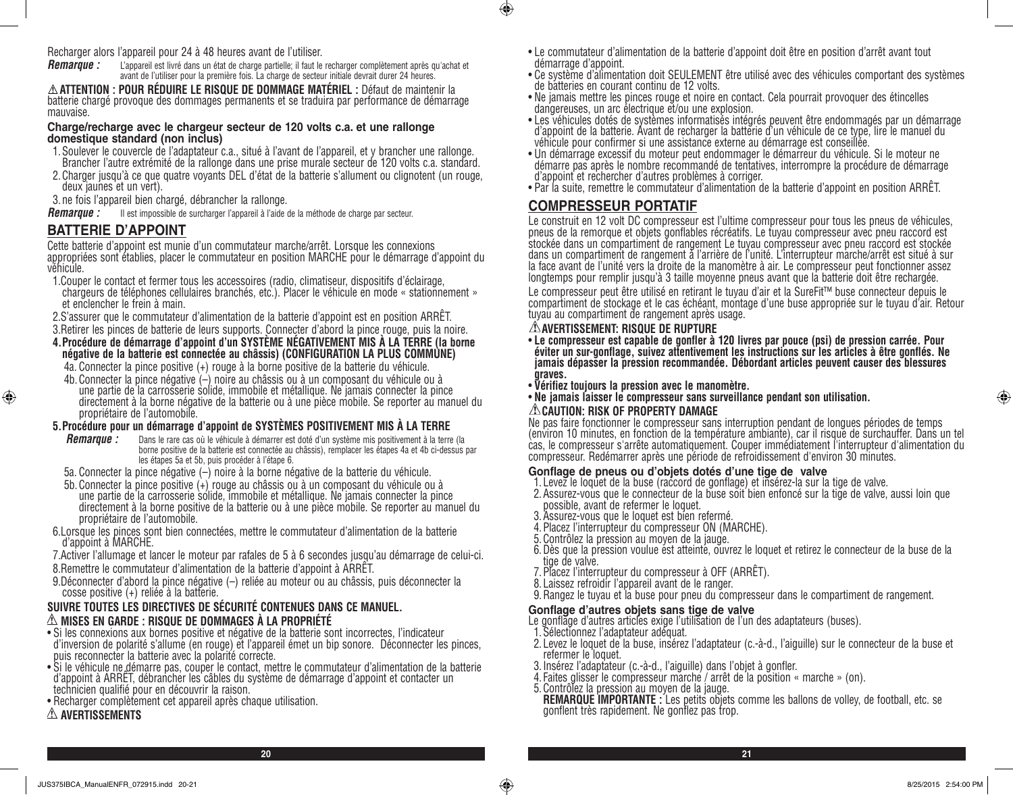Recharger alors l'appareil pour 24 à 48 heures avant de l'utiliser.

*Remarque :* L'appareil est livré dans un état de charge partielle; il faut le recharger complètement après qu'achat et avant de l'utiliser pour la première fois. La charge de secteur initiale devrait durer 24 heures.

**ATTENTION : POUR RÉDUIRE LE RISQUE DE DOMMAGE MATÉRIEL :** Défaut de maintenir la batterie chargé provoque des dommages permanents et se traduira par performance de démarrage mauvaise.

#### **Charge/recharge avec le chargeur secteur de 120 volts c.a. et une rallonge domestique standard (non inclus)**

- 1.Soulever le couvercle de l'adaptateur c.a., situé à l'avant de l'appareil, et y brancher une rallonge. Brancher l'autre extrémité de la rallonge dans une prise murale secteur de 120 volts c.a. standard.
- 2.Charger jusqu'à ce que quatre voyants DEL d'état de la batterie s'allument ou clignotent (un rouge, deux jaunes et un vert).

3. ne fois l'appareil bien chargé, débrancher la rallonge.

*Remarque :* Il est impossible de surcharger l'appareil à l'aide de la méthode de charge par secteur.

# **BATTERIE D'APPOINT**

⊕

Cette batterie d'appoint est munie d'un commutateur marche/arrêt. Lorsque les connexions appropriées sont établies, placer le commutateur en position MARCHE pour le démarrage d'appoint du véhicule.

- 1.Couper le contact et fermer tous les accessoires (radio, climatiseur, dispositifs d'éclairage, chargeurs de téléphones cellulaires branchés, etc.). Placer le véhicule en mode « stationnement » et enclencher le frein à main.
- 2.S'assurer que le commutateur d'alimentation de la batterie d'appoint est en position ARRÊT.
- 3.Retirer les pinces de batterie de leurs supports. Connecter d'abord la pince rouge, puis la noire.

#### **4.Procédure de démarrage d'appoint d'un SYSTÈME NÉGATIVEMENT MIS À LA TERRE (la borne négative de la batterie est connectée au châssis) (CONFIGURATION LA PLUS COMMUNE)**

- 4a. Connecter la pince positive (+) rouge à la borne positive de la batterie du véhicule.
- 4b.Connecter la pince négative (–) noire au châssis ou à un composant du véhicule ou à une partie de la carrosserie solide, immobile et métallique. Ne jamais connecter la pince directement à la borne négative de la batterie ou à une pièce mobile. Se reporter au manuel du propriétaire de l'automobile.

#### **5.Procédure pour un démarrage d'appoint de SYSTÈMES POSITIVEMENT MIS À LA TERRE**

- *Remarque :* Dans le rare cas où le véhicule à démarrer est doté d'un système mis positivement à la terre (la borne positive de la batterie est connectée au châssis), remplacer les étapes 4a et 4b ci-dessus par les étapes 5a et 5b, puis procéder à l'étape 6.
- 5a. Connecter la pince négative (–) noire à la borne négative de la batterie du véhicule.
- 5b.Connecter la pince positive (+) rouge au châssis ou à un composant du véhicule ou à une partie de la carrosserie solide, immobile et métallique. Ne jamais connecter la pince directement à la borne positive de la batterie ou à une pièce mobile. Se reporter au manuel du propriétaire de l'automobile.
- 6.Lorsque les pinces sont bien connectées, mettre le commutateur d'alimentation de la batterie d'appoint à MARCHE.
- 7.Activer l'allumage et lancer le moteur par rafales de 5 à 6 secondes jusqu'au démarrage de celui-ci.
- 8.Remettre le commutateur d'alimentation de la batterie d'appoint à ARRÊT.

9.Déconnecter d'abord la pince négative (–) reliée au moteur ou au châssis, puis déconnecter la cosse positive (+) reliée à la batterie.

#### **SUIVRE TOUTES LES DIRECTIVES DE SÉCURITÉ CONTENUES DANS CE MANUEL. MISES EN GARDE : RISQUE DE DOMMAGES À LA PROPRIÉTÉ**

- Si les connexions aux bornes positive et négative de la batterie sont incorrectes, l'indicateur d'inversion de polarité s'allume (en rouge) et l'appareil émet un bip sonore. Déconnecter les pinces, puis reconnecter la batterie avec la polarité correcte.
- Si le véhicule ne démarre pas, couper le contact, mettre le commutateur d'alimentation de la batterie d'appoint à ARRÊT, débrancher les câbles du système de démarrage d'appoint et contacter un technicien qualifié pour en découvrir la raison.
- Recharger complètement cet appareil après chaque utilisation.

#### **AVERTISSEMENTS**

- Le commutateur d'alimentation de la batterie d'appoint doit être en position d'arrêt avant tout démarrage d'appoint.
- Ce système d'alimentation doit SEULEMENT être utilisé avec des véhicules comportant des systèmes de batteries en courant continu de 12 volts.
- Ne jamais mettre les pinces rouge et noire en contact. Cela pourrait provoquer des étincelles dangereuses, un arc électrique et/ou une explosion.
- Les véhicules dotés de systèmes informatisés intégrés peuvent être endommagés par un démarrage d'appoint de la batterie. Avant de recharger la batterie d'un véhicule de ce type, lire le manuel du véhicule pour confirmer si une assistance externe au démarrage est conseillée.
- Un démarrage excessif du moteur peut endommager le démarreur du véhicule. Si le moteur ne démarre pas après le nombre recommandé de tentatives, interrompre la procédure de démarrage d'appoint et rechercher d'autres problèmes à corriger.
- Par la suite, remettre le commutateur d'alimentation de la batterie d'appoint en position ARRÊT.

# **COMPRESSEUR PORTATIF**

 $\bigcirc$ 

Le construit en 12 volt DC compresseur est l'ultime compresseur pour tous les pneus de véhicules, pneus de la remorque et objets gonflables récréatifs. Le tuyau compresseur avec pneu raccord est stockée dans un compartiment de rangement Le tuyau compresseur avec pneu raccord est stockée<br>dans un compartiment de rangement à l'arrière de l'unité. L'interrupteur marche/arrêt est situé à sur<br>la face avant de l'unité ve longtemps pour remplir jusqu'à 3 taille moyenne pneus avant que la batterie doit être rechargée.

Le compresseur peut être utilisé en retirant le tuyau d'air et la SureFit™ buse connecteur depuis le<br>compartiment de stockage et le cas échéant, montage d'une buse appropriée sur le tuyau d'air. Retour tuyau au compartiment de rangement après usage.

#### **AVERTISSEMENT: RISQUE DE RUPTURE**

- **Le compresseur est capable de gonfler à 120 livres par pouce (psi) de pression carrée. Pour éviter un sur-gonflage, suivez attentivement les instructions sur les articles à être gonflés. Ne jamais dépasser la pression recommandée. Débordant articles peuvent causer des blessures graves.**
- **Vérifiez toujours la pression avec le manomètre.**
- **Ne jamais laisser le compresseur sans surveillance pendant son utilisation.**

#### **CAUTION: RISK OF PROPERTY DAMAGE**

Ne pas faire fonctionner le compresseur sans interruption pendant de longues périodes de temps (environ 10 minutes, en fonction de la température ambiante), car il risque de surchauffer. Dans un tel cas, le compresseur s'arrête automatiquement. Couper immédiatement l'interrupteur d'alimentation du compresseur. Redémarrer après une période de refroidissement d'environ 30 minutes.

#### **Gonflage de pneus ou d'objets dotés d'une tige de valve**

- 1. Levez le loquet de la buse (raccord de gonflage) et insérez-la sur la tige de valve.
- 2.Assurez-vous que le connecteur de la buse soit bien enfoncé sur la tige de valve, aussi loin que possible, avant de refermer le loquet.
- 3.Assurez-vous que le loquet est bien refermé.
- 4.Placez l'interrupteur du compresseur ON (MARCHE).
- 5.Contrôlez la pression au moyen de la jauge.
- 6. Dès que la pression voulue est atteinté, ouvrez le loquet et retirez le connecteur de la buse de la tige de valve.
- 7.Placez l'interrupteur du compresseur à OFF (ARRÊT).
- 8. Laissez refroidir l'appareil avant de le ranger.
- 9.Rangez le tuyau et la buse pour pneu du compresseur dans le compartiment de rangement.

#### **Gonflage d'autres objets sans tige de valve**

- Le gonflage d'autres articles exige l'utilisation de l'un des adaptateurs (buses).
- 1.Sélectionnez l'adaptateur adéquat.
- 2. Levez le loquet de la buse, insérez l'adaptateur (c.-à-d., l'aiguille) sur le connecteur de la buse et refermer le loquet.
- 3.Insérez l'adaptateur (c.-à-d., l'aiguille) dans l'objet à gonfler.
- 4. Faites glisser le compresseur marche / arrêt de la position « marche » (on).
- 5.Contrôlez la pression au moyen de la jauge.

**REMARQUE IMPORTANTE :** Les petits objets comme les ballons de volley, de football, etc. se gonflent très rapidement. Ne gonflez pas trop.

⊕